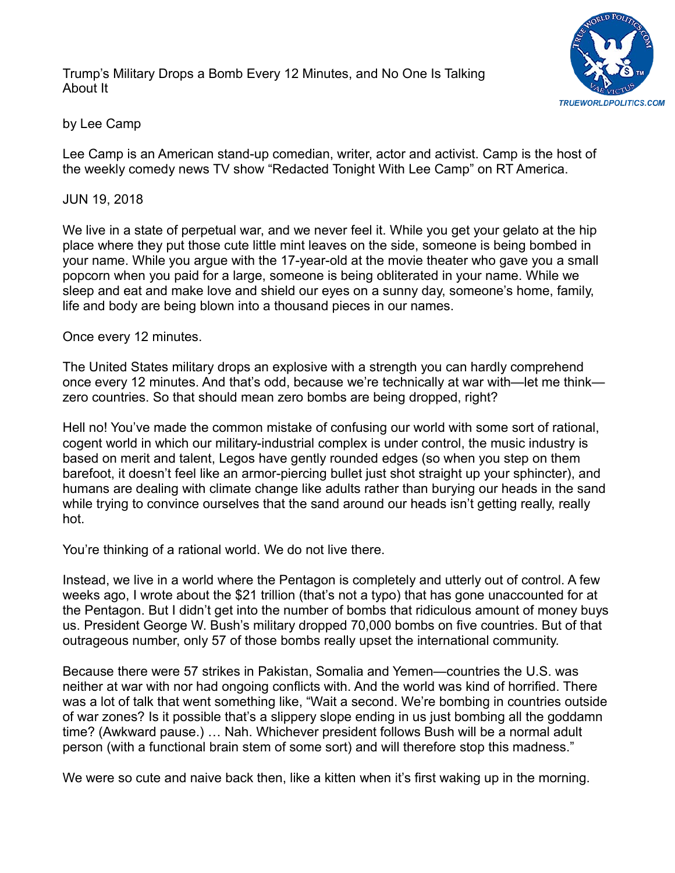[Trump's Military Drops a Bomb Every 12 Minutes, and No One Is Talking](https://www.truthdig.com/articles/trumps-military-drops-a-bomb-every-12-minutes-and-no-one-is-talking-about-it/)  About It



## by Lee Camp

Lee Camp is an American stand-up comedian, writer, actor and activist. Camp is the host of the weekly comedy news TV show "Redacted Tonight With Lee Camp" on RT America.

## JUN 19, 2018

We live in a state of perpetual war, and we never feel it. While you get your gelato at the hip place where they put those cute little mint leaves on the side, someone is being bombed in your name. While you argue with the 17-year-old at the movie theater who gave you a small popcorn when you paid for a large, someone is being obliterated in your name. While we sleep and eat and make love and shield our eyes on a sunny day, someone's home, family, life and body are being blown into a thousand pieces in our names.

Once every 12 minutes.

The United States military drops an explosive with a strength you can hardly comprehend once every 12 minutes. And that's odd, because we're technically at war with—let me think zero countries. So that should mean zero bombs are being dropped, right?

Hell no! You've made the common mistake of confusing our world with some sort of rational, cogent world in which our military-industrial complex is under control, the music industry is based on merit and talent, Legos have gently rounded edges (so when you step on them barefoot, it doesn't feel like an armor-piercing bullet just shot straight up your sphincter), and humans are dealing with climate change like adults rather than burying our heads in the sand while trying to convince ourselves that the sand around our heads isn't getting really, really hot.

You're thinking of a rational world. We do not live there.

Instead, we live in a world where the Pentagon is completely and utterly out of control. A few weeks ago, I wrote about the \$21 trillion (that's not a typo) that has gone unaccounted for at the Pentagon. But I didn't get into the number of bombs that ridiculous amount of money buys us. President George W. Bush's military dropped 70,000 bombs on five countries. But of that outrageous number, only 57 of those bombs really upset the international community.

Because there were 57 strikes in Pakistan, Somalia and Yemen—countries the U.S. was neither at war with nor had ongoing conflicts with. And the world was kind of horrified. There was a lot of talk that went something like, "Wait a second. We're bombing in countries outside of war zones? Is it possible that's a slippery slope ending in us just bombing all the goddamn time? (Awkward pause.) … Nah. Whichever president follows Bush will be a normal adult person (with a functional brain stem of some sort) and will therefore stop this madness."

We were so cute and naive back then, like a kitten when it's first waking up in the morning.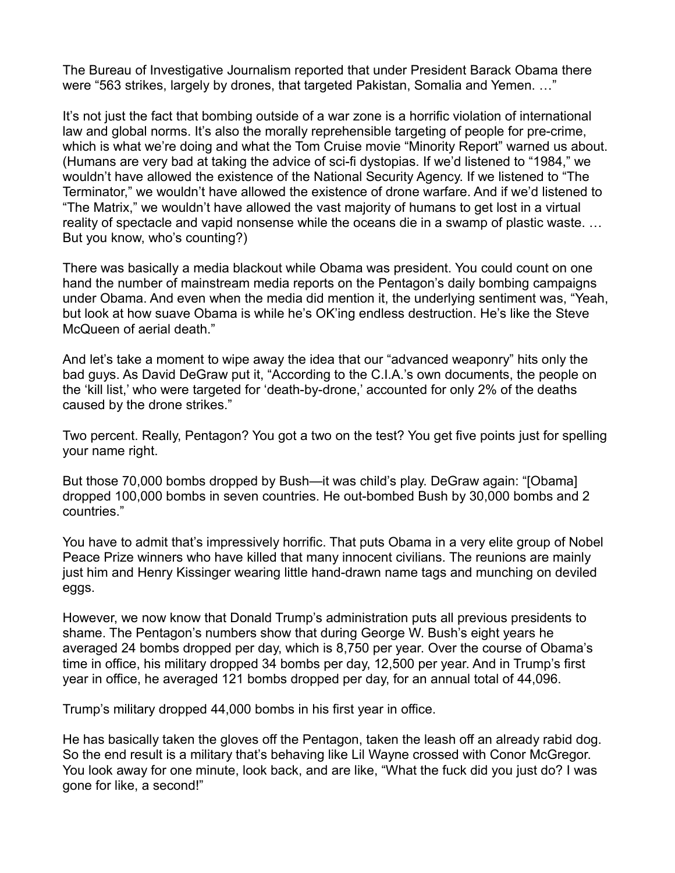The Bureau of Investigative Journalism reported that under President Barack Obama there were "563 strikes, largely by drones, that targeted Pakistan, Somalia and Yemen. …"

It's not just the fact that bombing outside of a war zone is a horrific violation of international law and global norms. It's also the morally reprehensible targeting of people for pre-crime, which is what we're doing and what the Tom Cruise movie "Minority Report" warned us about. (Humans are very bad at taking the advice of sci-fi dystopias. If we'd listened to "1984," we wouldn't have allowed the existence of the National Security Agency. If we listened to "The Terminator," we wouldn't have allowed the existence of drone warfare. And if we'd listened to "The Matrix," we wouldn't have allowed the vast majority of humans to get lost in a virtual reality of spectacle and vapid nonsense while the oceans die in a swamp of plastic waste. … But you know, who's counting?)

There was basically a media blackout while Obama was president. You could count on one hand the number of mainstream media reports on the Pentagon's daily bombing campaigns under Obama. And even when the media did mention it, the underlying sentiment was, "Yeah, but look at how suave Obama is while he's OK'ing endless destruction. He's like the Steve McQueen of aerial death."

And let's take a moment to wipe away the idea that our "advanced weaponry" hits only the bad guys. As David DeGraw put it, "According to the C.I.A.'s own documents, the people on the 'kill list,' who were targeted for 'death-by-drone,' accounted for only 2% of the deaths caused by the drone strikes."

Two percent. Really, Pentagon? You got a two on the test? You get five points just for spelling your name right.

But those 70,000 bombs dropped by Bush—it was child's play. DeGraw again: "[Obama] dropped 100,000 bombs in seven countries. He out-bombed Bush by 30,000 bombs and 2 countries."

You have to admit that's impressively horrific. That puts Obama in a very elite group of Nobel Peace Prize winners who have killed that many innocent civilians. The reunions are mainly just him and Henry Kissinger wearing little hand-drawn name tags and munching on deviled eggs.

However, we now know that Donald Trump's administration puts all previous presidents to shame. The Pentagon's numbers show that during George W. Bush's eight years he averaged 24 bombs dropped per day, which is 8,750 per year. Over the course of Obama's time in office, his military dropped 34 bombs per day, 12,500 per year. And in Trump's first year in office, he averaged 121 bombs dropped per day, for an annual total of 44,096.

Trump's military dropped 44,000 bombs in his first year in office.

He has basically taken the gloves off the Pentagon, taken the leash off an already rabid dog. So the end result is a military that's behaving like Lil Wayne crossed with Conor McGregor. You look away for one minute, look back, and are like, "What the fuck did you just do? I was gone for like, a second!"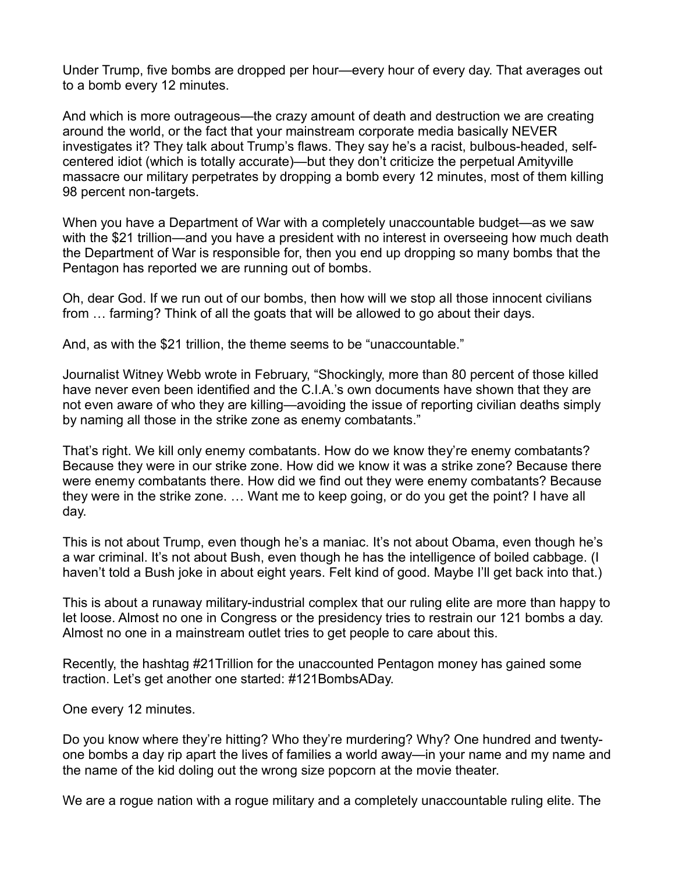Under Trump, five bombs are dropped per hour—every hour of every day. That averages out to a bomb every 12 minutes.

And which is more outrageous—the crazy amount of death and destruction we are creating around the world, or the fact that your mainstream corporate media basically NEVER investigates it? They talk about Trump's flaws. They say he's a racist, bulbous-headed, selfcentered idiot (which is totally accurate)—but they don't criticize the perpetual Amityville massacre our military perpetrates by dropping a bomb every 12 minutes, most of them killing 98 percent non-targets.

When you have a Department of War with a completely unaccountable budget—as we saw with the \$21 trillion—and you have a president with no interest in overseeing how much death the Department of War is responsible for, then you end up dropping so many bombs that the Pentagon has reported we are running out of bombs.

Oh, dear God. If we run out of our bombs, then how will we stop all those innocent civilians from … farming? Think of all the goats that will be allowed to go about their days.

And, as with the \$21 trillion, the theme seems to be "unaccountable."

Journalist Witney Webb wrote in February, "Shockingly, more than 80 percent of those killed have never even been identified and the C.I.A.'s own documents have shown that they are not even aware of who they are killing—avoiding the issue of reporting civilian deaths simply by naming all those in the strike zone as enemy combatants."

That's right. We kill only enemy combatants. How do we know they're enemy combatants? Because they were in our strike zone. How did we know it was a strike zone? Because there were enemy combatants there. How did we find out they were enemy combatants? Because they were in the strike zone. … Want me to keep going, or do you get the point? I have all day.

This is not about Trump, even though he's a maniac. It's not about Obama, even though he's a war criminal. It's not about Bush, even though he has the intelligence of boiled cabbage. (I haven't told a Bush joke in about eight years. Felt kind of good. Maybe I'll get back into that.)

This is about a runaway military-industrial complex that our ruling elite are more than happy to let loose. Almost no one in Congress or the presidency tries to restrain our 121 bombs a day. Almost no one in a mainstream outlet tries to get people to care about this.

Recently, the hashtag #21Trillion for the unaccounted Pentagon money has gained some traction. Let's get another one started: #121BombsADay.

One every 12 minutes.

Do you know where they're hitting? Who they're murdering? Why? One hundred and twentyone bombs a day rip apart the lives of families a world away—in your name and my name and the name of the kid doling out the wrong size popcorn at the movie theater.

We are a rogue nation with a rogue military and a completely unaccountable ruling elite. The